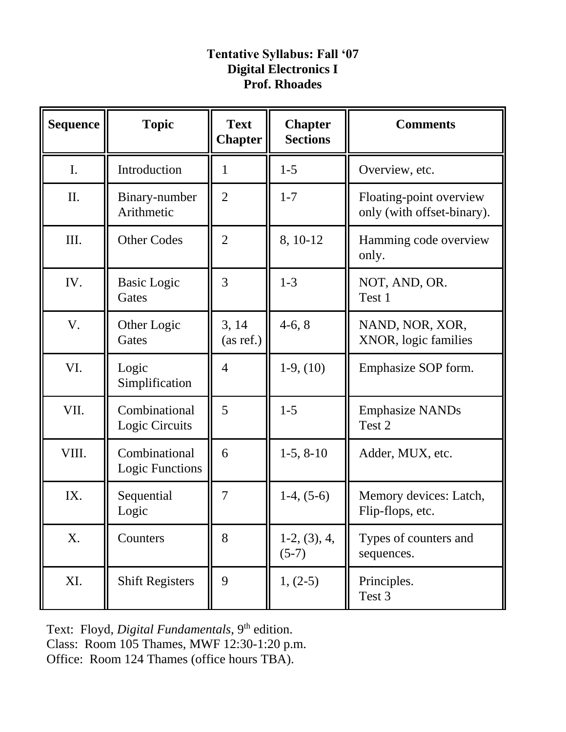## **Tentative Syllabus: Fall '07 Digital Electronics I Prof. Rhoades**

| <b>Sequence</b> | <b>Topic</b>                            | <b>Text</b><br><b>Chapter</b> | <b>Chapter</b><br><b>Sections</b> | <b>Comments</b>                                       |
|-----------------|-----------------------------------------|-------------------------------|-----------------------------------|-------------------------------------------------------|
| I.              | Introduction                            | 1                             | $1 - 5$                           | Overview, etc.                                        |
| II.             | Binary-number<br>Arithmetic             | $\overline{2}$                | $1 - 7$                           | Floating-point overview<br>only (with offset-binary). |
| III.            | <b>Other Codes</b>                      | $\overline{2}$                | 8, 10-12                          | Hamming code overview<br>only.                        |
| IV.             | <b>Basic Logic</b><br>Gates             | 3                             | $1 - 3$                           | NOT, AND, OR.<br>Test 1                               |
| V.              | Other Logic<br>Gates                    | 3, 14<br>(as ref.)            | $4-6, 8$                          | NAND, NOR, XOR,<br>XNOR, logic families               |
| VI.             | Logic<br>Simplification                 | 4                             | $1-9, (10)$                       | Emphasize SOP form.                                   |
| VII.            | Combinational<br>Logic Circuits         | 5                             | $1 - 5$                           | <b>Emphasize NANDs</b><br>Test 2                      |
| VIII.           | Combinational<br><b>Logic Functions</b> | 6                             | $1-5, 8-10$                       | Adder, MUX, etc.                                      |
| IX.             | Sequential<br>Logic                     | 7                             | $1-4, (5-6)$                      | Memory devices: Latch,<br>Flip-flops, etc.            |
| X.              | Counters                                | 8                             | $1-2, (3), 4,$<br>$(5-7)$         | Types of counters and<br>sequences.                   |
| XI.             | <b>Shift Registers</b>                  | 9                             | $1, (2-5)$                        | Principles.<br>Test 3                                 |

Text: Floyd, *Digital Fundamentals*, 9<sup>th</sup> edition. Class: Room 105 Thames, MWF 12:30-1:20 p.m. Office: Room 124 Thames (office hours TBA).